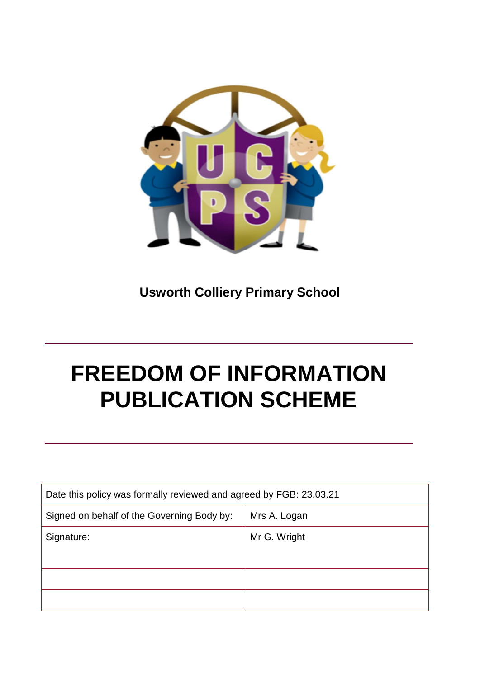

**Usworth Colliery Primary School**

# **FREEDOM OF INFORMATION PUBLICATION SCHEME**

| Date this policy was formally reviewed and agreed by FGB: 23.03.21 |              |  |
|--------------------------------------------------------------------|--------------|--|
| Signed on behalf of the Governing Body by:                         | Mrs A. Logan |  |
| Signature:                                                         | Mr G. Wright |  |
|                                                                    |              |  |
|                                                                    |              |  |
|                                                                    |              |  |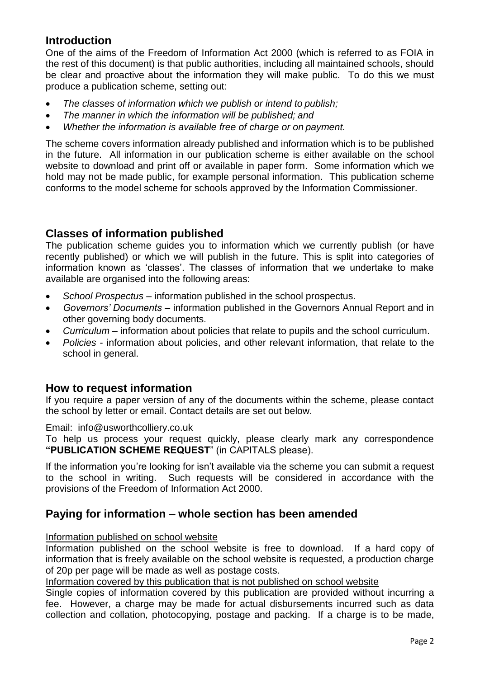### **Introduction**

One of the aims of the Freedom of Information Act 2000 (which is referred to as FOIA in the rest of this document) is that public authorities, including all maintained schools, should be clear and proactive about the information they will make public. To do this we must produce a publication scheme, setting out:

- *The classes of information which we publish or intend to publish;*
- *The manner in which the information will be published; and*
- *Whether the information is available free of charge or on payment.*

The scheme covers information already published and information which is to be published in the future. All information in our publication scheme is either available on the school website to download and print off or available in paper form. Some information which we hold may not be made public, for example personal information. This publication scheme conforms to the model scheme for schools approved by the Information Commissioner.

### **Classes of information published**

The publication scheme guides you to information which we currently publish (or have recently published) or which we will publish in the future. This is split into categories of information known as 'classes'. The classes of information that we undertake to make available are organised into the following areas:

- *School Prospectus*  information published in the school prospectus.
- *Governors' Documents*  information published in the Governors Annual Report and in other governing body documents.
- *Curriculum*  information about policies that relate to pupils and the school curriculum.
- *Policies*  information about policies, and other relevant information, that relate to the school in general.

#### **How to request information**

If you require a paper version of any of the documents within the scheme, please contact the school by letter or email. Contact details are set out below.

Email: info@usworthcolliery.co.uk

To help us process your request quickly, please clearly mark any correspondence **"PUBLICATION SCHEME REQUEST**" (in CAPITALS please).

If the information you're looking for isn't available via the scheme you can submit a request to the school in writing. Such requests will be considered in accordance with the provisions of the Freedom of Information Act 2000.

#### **Paying for information – whole section has been amended**

#### Information published on school website

Information published on the school website is free to download. If a hard copy of information that is freely available on the school website is requested, a production charge of 20p per page will be made as well as postage costs.

Information covered by this publication that is not published on school website

Single copies of information covered by this publication are provided without incurring a fee. However, a charge may be made for actual disbursements incurred such as data collection and collation, photocopying, postage and packing. If a charge is to be made,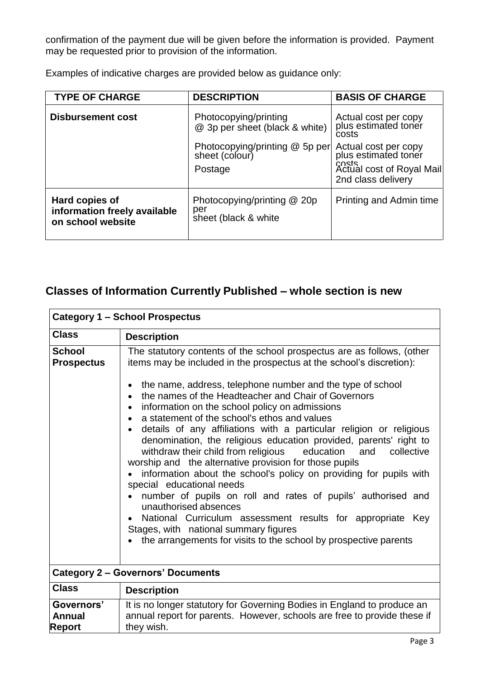confirmation of the payment due will be given before the information is provided. Payment may be requested prior to provision of the information.

Examples of indicative charges are provided below as guidance only:

| <b>TYPE OF CHARGE</b>                                               | <b>DESCRIPTION</b>                                          | <b>BASIS OF CHARGE</b>                                                                                   |
|---------------------------------------------------------------------|-------------------------------------------------------------|----------------------------------------------------------------------------------------------------------|
| <b>Disbursement cost</b>                                            | Photocopying/printing<br>@ 3p per sheet (black & white)     | Actual cost per copy<br>plus estimated toner<br>costs                                                    |
|                                                                     | Photocopying/printing @ 5p per<br>sheet (colour)<br>Postage | Actual cost per copy<br>plus estimated toner<br>costs<br>Actual cost of Royal Mail<br>2nd class delivery |
| Hard copies of<br>information freely available<br>on school website | Photocopying/printing @ 20p<br>per<br>sheet (black & white  | Printing and Admin time                                                                                  |

## **Classes of Information Currently Published – whole section is new**

| <b>Category 1 - School Prospectus</b>        |                                                                                                                                                                                                                                                                                                                                                                                                                                                                                                                                                                                                                                                                                                                                                                                                                                                                                                                                                                                                                                                 |  |
|----------------------------------------------|-------------------------------------------------------------------------------------------------------------------------------------------------------------------------------------------------------------------------------------------------------------------------------------------------------------------------------------------------------------------------------------------------------------------------------------------------------------------------------------------------------------------------------------------------------------------------------------------------------------------------------------------------------------------------------------------------------------------------------------------------------------------------------------------------------------------------------------------------------------------------------------------------------------------------------------------------------------------------------------------------------------------------------------------------|--|
| <b>Class</b>                                 | <b>Description</b>                                                                                                                                                                                                                                                                                                                                                                                                                                                                                                                                                                                                                                                                                                                                                                                                                                                                                                                                                                                                                              |  |
| <b>School</b><br><b>Prospectus</b>           | The statutory contents of the school prospectus are as follows, (other<br>items may be included in the prospectus at the school's discretion):<br>the name, address, telephone number and the type of school<br>$\bullet$<br>the names of the Headteacher and Chair of Governors<br>information on the school policy on admissions<br>$\bullet$<br>a statement of the school's ethos and values<br>details of any affiliations with a particular religion or religious<br>denomination, the religious education provided, parents' right to<br>withdraw their child from religious education<br>and collective<br>worship and the alternative provision for those pupils<br>information about the school's policy on providing for pupils with<br>special educational needs<br>number of pupils on roll and rates of pupils' authorised and<br>unauthorised absences<br>National Curriculum assessment results for appropriate Key<br>Stages, with national summary figures<br>the arrangements for visits to the school by prospective parents |  |
|                                              | <b>Category 2 - Governors' Documents</b>                                                                                                                                                                                                                                                                                                                                                                                                                                                                                                                                                                                                                                                                                                                                                                                                                                                                                                                                                                                                        |  |
| <b>Class</b>                                 | <b>Description</b>                                                                                                                                                                                                                                                                                                                                                                                                                                                                                                                                                                                                                                                                                                                                                                                                                                                                                                                                                                                                                              |  |
| Governors'<br><b>Annual</b><br><b>Report</b> | It is no longer statutory for Governing Bodies in England to produce an<br>annual report for parents. However, schools are free to provide these if<br>they wish.                                                                                                                                                                                                                                                                                                                                                                                                                                                                                                                                                                                                                                                                                                                                                                                                                                                                               |  |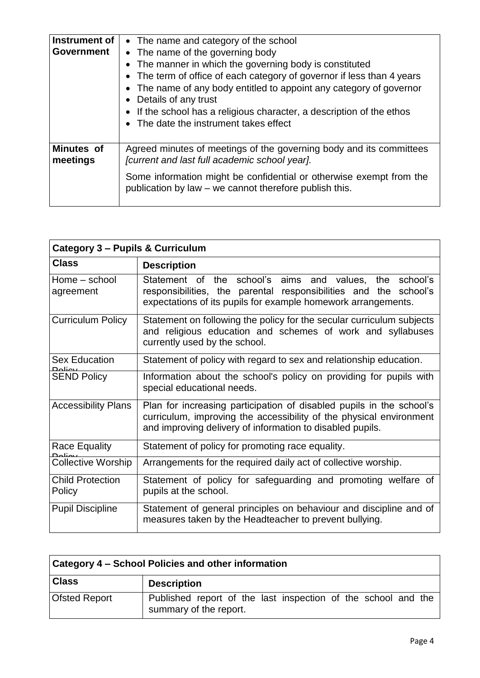| Instrument of<br><b>Government</b> | • The name and category of the school<br>• The name of the governing body<br>• The manner in which the governing body is constituted<br>• The term of office of each category of governor if less than 4 years<br>• The name of any body entitled to appoint any category of governor<br>• Details of any trust<br>• If the school has a religious character, a description of the ethos<br>• The date the instrument takes effect |
|------------------------------------|------------------------------------------------------------------------------------------------------------------------------------------------------------------------------------------------------------------------------------------------------------------------------------------------------------------------------------------------------------------------------------------------------------------------------------|
| <b>Minutes of</b><br>meetings      | Agreed minutes of meetings of the governing body and its committees<br>[current and last full academic school year].                                                                                                                                                                                                                                                                                                               |
|                                    | Some information might be confidential or otherwise exempt from the<br>publication by law – we cannot therefore publish this.                                                                                                                                                                                                                                                                                                      |

| <b>Category 3 - Pupils &amp; Curriculum</b> |                                                                                                                                                                                                          |
|---------------------------------------------|----------------------------------------------------------------------------------------------------------------------------------------------------------------------------------------------------------|
| <b>Class</b>                                | <b>Description</b>                                                                                                                                                                                       |
| Home – school<br>agreement                  | Statement of the school's aims and values, the school's<br>responsibilities, the parental responsibilities and the school's<br>expectations of its pupils for example homework arrangements.             |
| Curriculum Policy                           | Statement on following the policy for the secular curriculum subjects<br>and religious education and schemes of work and syllabuses<br>currently used by the school.                                     |
| <b>Sex Education</b><br><u>Doliou</u>       | Statement of policy with regard to sex and relationship education.                                                                                                                                       |
| <b>SEND Policy</b>                          | Information about the school's policy on providing for pupils with<br>special educational needs.                                                                                                         |
| <b>Accessibility Plans</b>                  | Plan for increasing participation of disabled pupils in the school's<br>curriculum, improving the accessibility of the physical environment<br>and improving delivery of information to disabled pupils. |
| <b>Race Equality</b>                        | Statement of policy for promoting race equality.                                                                                                                                                         |
| <b>Collective Worship</b>                   | Arrangements for the required daily act of collective worship.                                                                                                                                           |
| <b>Child Protection</b><br>Policy           | Statement of policy for safeguarding and promoting welfare of<br>pupils at the school.                                                                                                                   |
| <b>Pupil Discipline</b>                     | Statement of general principles on behaviour and discipline and of<br>measures taken by the Headteacher to prevent bullying.                                                                             |

| <b>Category 4 – School Policies and other information</b> |                                                                                         |  |
|-----------------------------------------------------------|-----------------------------------------------------------------------------------------|--|
| <b>Class</b>                                              | <b>Description</b>                                                                      |  |
| <b>Ofsted Report</b>                                      | Published report of the last inspection of the school and the<br>summary of the report. |  |